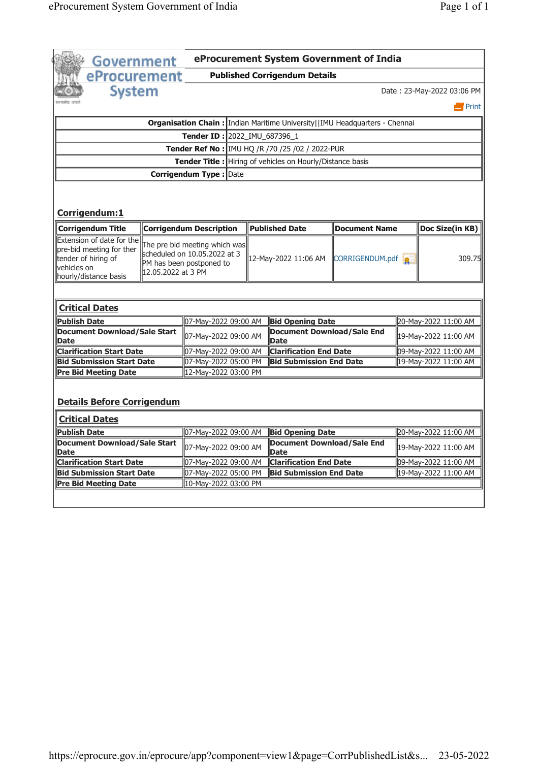|                                                                                                                                          | Government                                                                                                      |                                              |                                                                  |                                                                             | eProcurement System Government of India |  |                                                                      |  |
|------------------------------------------------------------------------------------------------------------------------------------------|-----------------------------------------------------------------------------------------------------------------|----------------------------------------------|------------------------------------------------------------------|-----------------------------------------------------------------------------|-----------------------------------------|--|----------------------------------------------------------------------|--|
| eProcurement                                                                                                                             |                                                                                                                 |                                              |                                                                  | <b>Published Corrigendum Details</b>                                        |                                         |  |                                                                      |  |
| <b>System</b>                                                                                                                            |                                                                                                                 |                                              |                                                                  |                                                                             |                                         |  | Date: 23-May-2022 03:06 PM                                           |  |
|                                                                                                                                          |                                                                                                                 |                                              |                                                                  |                                                                             |                                         |  | $\blacksquare$ Print                                                 |  |
|                                                                                                                                          |                                                                                                                 |                                              |                                                                  |                                                                             |                                         |  |                                                                      |  |
|                                                                                                                                          |                                                                                                                 |                                              |                                                                  | Organisation Chain : Indian Maritime University  IMU Headquarters - Chennai |                                         |  |                                                                      |  |
|                                                                                                                                          |                                                                                                                 |                                              |                                                                  | Tender ID: 2022_IMU_687396_1                                                |                                         |  |                                                                      |  |
|                                                                                                                                          |                                                                                                                 |                                              |                                                                  | Tender Ref No : IMU HQ /R /70 /25 /02 / 2022-PUR                            |                                         |  |                                                                      |  |
|                                                                                                                                          |                                                                                                                 |                                              | <b>Tender Title:</b> Hiring of vehicles on Hourly/Distance basis |                                                                             |                                         |  |                                                                      |  |
| Corrigendum Type : Date                                                                                                                  |                                                                                                                 |                                              |                                                                  |                                                                             |                                         |  |                                                                      |  |
| Corrigendum:1                                                                                                                            |                                                                                                                 |                                              |                                                                  |                                                                             |                                         |  |                                                                      |  |
| <b>Corrigendum Title</b>                                                                                                                 |                                                                                                                 | <b>Corrigendum Description</b>               |                                                                  | <b>Published Date</b>                                                       | Document Name                           |  | Doc Size(in KB)                                                      |  |
| Extension of date for the<br>pre-bid meeting for ther<br>tender of hiring of<br>vehicles on<br>hourly/distance basis                     | The pre bid meeting which was<br>scheduled on 10.05.2022 at 3<br>PM has been postponed to<br>12.05.2022 at 3 PM |                                              |                                                                  | 12-May-2022 11:06 AM                                                        | CORRIGENDUM.pdf                         |  | 309.75                                                               |  |
| <b>Critical Dates</b>                                                                                                                    |                                                                                                                 | 07-May-2022 09:00 AM                         |                                                                  | <b>Bid Opening Date</b>                                                     |                                         |  | 20-May-2022 11:00 AM                                                 |  |
|                                                                                                                                          | <b>Document Download/Sale Start</b>                                                                             |                                              |                                                                  |                                                                             |                                         |  |                                                                      |  |
|                                                                                                                                          |                                                                                                                 | 07-May-2022 09:00 AM                         |                                                                  | Date                                                                        | <b>Document Download/Sale End</b>       |  |                                                                      |  |
|                                                                                                                                          |                                                                                                                 | 07-May-2022 09:00 AM                         |                                                                  | <b>Clarification End Date</b>                                               |                                         |  |                                                                      |  |
|                                                                                                                                          |                                                                                                                 | 07-May-2022 05:00 PM                         |                                                                  | <b>Bid Submission End Date</b>                                              |                                         |  |                                                                      |  |
| <b>Publish Date</b><br><b>Date</b><br><b>Clarification Start Date</b><br><b>Bid Submission Start Date</b><br><b>Pre Bid Meeting Date</b> |                                                                                                                 | 12-May-2022 03:00 PM                         |                                                                  |                                                                             |                                         |  |                                                                      |  |
| <b>Details Before Corrigendum</b>                                                                                                        |                                                                                                                 |                                              |                                                                  |                                                                             |                                         |  | 19-May-2022 11:00 AM<br>09-May-2022 11:00 AM<br>19-May-2022 11:00 AM |  |
| <b>Critical Dates</b>                                                                                                                    |                                                                                                                 |                                              |                                                                  |                                                                             |                                         |  |                                                                      |  |
| <b>Publish Date</b><br><b>Document Download/Sale Start</b>                                                                               |                                                                                                                 | 07-May-2022 09:00 AM<br>07-May-2022 09:00 AM |                                                                  | <b>Bid Opening Date</b>                                                     | Document Download/Sale End              |  | 20-May-2022 11:00 AM<br>19-May-2022 11:00 AM                         |  |
| Date<br><b>Clarification Start Date</b>                                                                                                  |                                                                                                                 | 07-May-2022 09:00 AM                         |                                                                  | <b>Date</b><br><b>Clarification End Date</b>                                |                                         |  | 09-May-2022 11:00 AM                                                 |  |
| <b>Bid Submission Start Date</b>                                                                                                         |                                                                                                                 | 07-May-2022 05:00 PM                         |                                                                  | <b>Bid Submission End Date</b>                                              |                                         |  | ll19-Mav-2022 11:00 AM                                               |  |